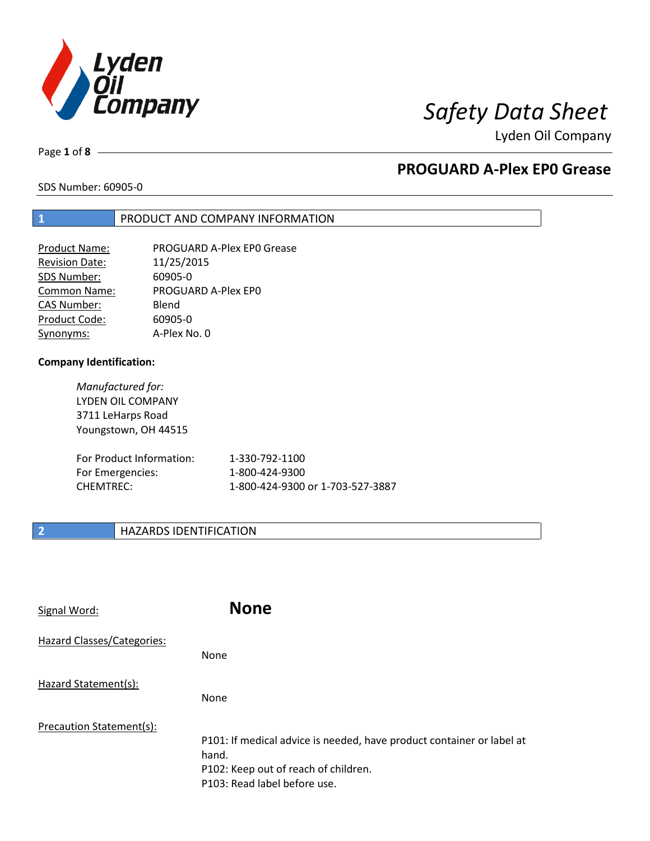

Page **1** of **8**

# **PROGUARD A-Plex EP0 Grease**

SDS Number: 60905-0

## **1** PRODUCT AND COMPANY INFORMATION

| <b>Product Name:</b>  | PROGUARD A-Plex EP0 Grease |
|-----------------------|----------------------------|
| <b>Revision Date:</b> | 11/25/2015                 |
| SDS Number:           | 60905-0                    |
| <b>Common Name:</b>   | PROGUARD A-Plex EP0        |
| <b>CAS Number:</b>    | Blend                      |
| Product Code:         | 60905-0                    |
| Synonyms:             | A-Plex No. 0               |

### **Company Identification:**

*Manufactured for:* LYDEN OIL COMPANY 3711 LeHarps Road Youngstown, OH 44515

| For Product Information: | 1-330-792-1100                   |
|--------------------------|----------------------------------|
| For Emergencies:         | 1-800-424-9300                   |
| CHEMTREC:                | 1-800-424-9300 or 1-703-527-3887 |

# **2 HAZARDS IDENTIFICATION**

| Signal Word:               | <b>None</b>                                                                                                                                            |
|----------------------------|--------------------------------------------------------------------------------------------------------------------------------------------------------|
| Hazard Classes/Categories: | <b>None</b>                                                                                                                                            |
| Hazard Statement(s):       | <b>None</b>                                                                                                                                            |
| Precaution Statement(s):   | P101: If medical advice is needed, have product container or label at<br>hand.<br>P102: Keep out of reach of children.<br>P103: Read label before use. |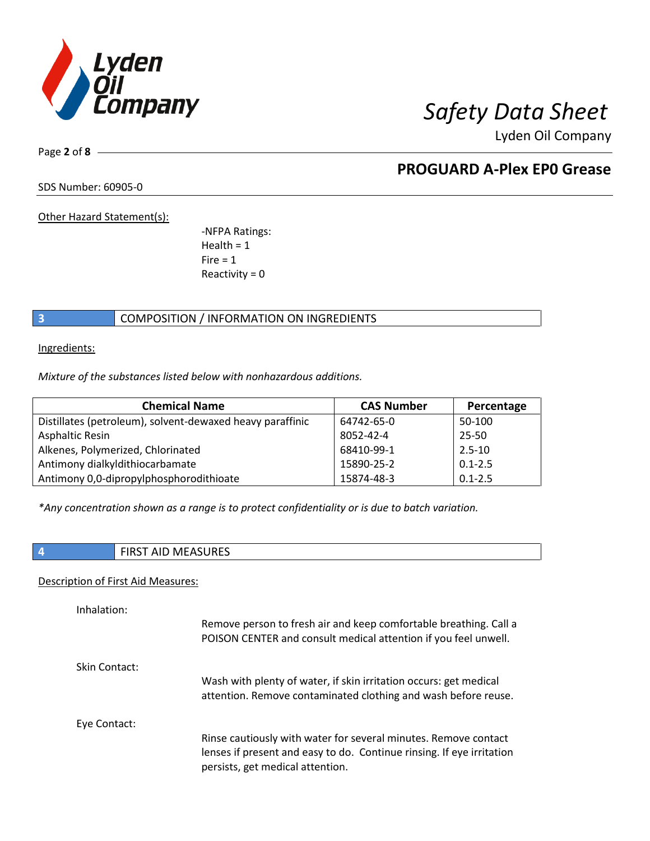

Page **2** of **8**

# **PROGUARD A-Plex EP0 Grease**

SDS Number: 60905-0

Other Hazard Statement(s):

-NFPA Ratings:  $Health = 1$  $Fire = 1$ Reactivity  $= 0$ 

# **3** COMPOSITION / INFORMATION ON INGREDIENTS

Ingredients:

*Mixture of the substances listed below with nonhazardous additions.*

| <b>Chemical Name</b>                                      | <b>CAS Number</b> | Percentage  |
|-----------------------------------------------------------|-------------------|-------------|
| Distillates (petroleum), solvent-dewaxed heavy paraffinic | 64742-65-0        | 50-100      |
| <b>Asphaltic Resin</b>                                    | 8052-42-4         | 25-50       |
| Alkenes, Polymerized, Chlorinated                         | 68410-99-1        | $2.5 - 10$  |
| Antimony dialkyldithiocarbamate                           | 15890-25-2        | $0.1 - 2.5$ |
| Antimony 0,0-dipropylphosphorodithioate                   | 15874-48-3        | $0.1 - 2.5$ |

*\*Any concentration shown as a range is to protect confidentiality or is due to batch variation.*

| <b>FIRST AID MEASURES</b> |
|---------------------------|
|                           |

### Description of First Aid Measures:

| Inhalation:   | Remove person to fresh air and keep comfortable breathing. Call a<br>POISON CENTER and consult medical attention if you feel unwell.                                         |
|---------------|------------------------------------------------------------------------------------------------------------------------------------------------------------------------------|
| Skin Contact: |                                                                                                                                                                              |
|               | Wash with plenty of water, if skin irritation occurs: get medical<br>attention. Remove contaminated clothing and wash before reuse.                                          |
| Eye Contact:  |                                                                                                                                                                              |
|               | Rinse cautiously with water for several minutes. Remove contact<br>lenses if present and easy to do. Continue rinsing. If eye irritation<br>persists, get medical attention. |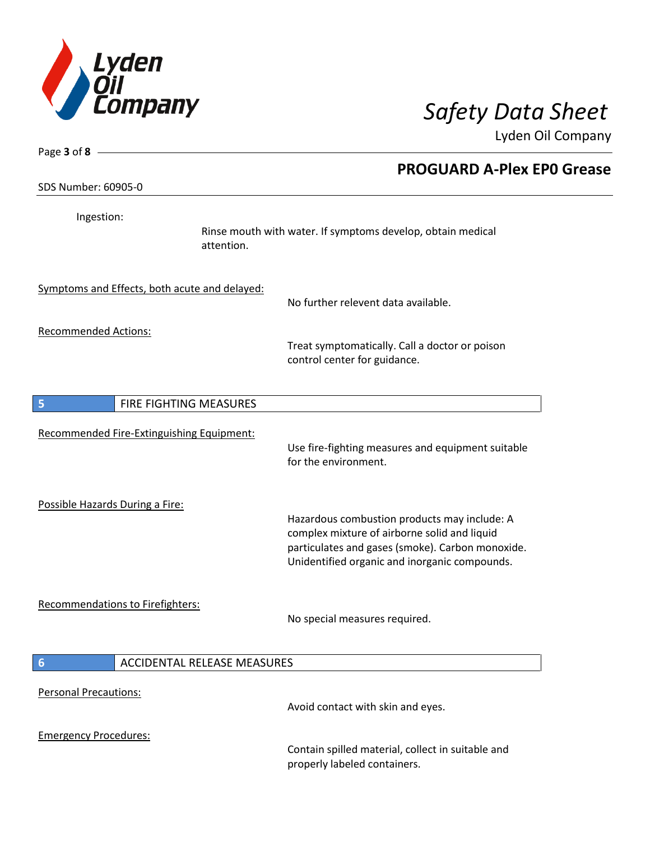

| Page $3$ of $8$ -                             |                                                                                                                                                                                                   |
|-----------------------------------------------|---------------------------------------------------------------------------------------------------------------------------------------------------------------------------------------------------|
| SDS Number: 60905-0                           | <b>PROGUARD A-Plex EPO Grease</b>                                                                                                                                                                 |
| Ingestion:<br>attention.                      | Rinse mouth with water. If symptoms develop, obtain medical                                                                                                                                       |
| Symptoms and Effects, both acute and delayed: | No further relevent data available.                                                                                                                                                               |
| <b>Recommended Actions:</b>                   | Treat symptomatically. Call a doctor or poison<br>control center for guidance.                                                                                                                    |
| 5<br>FIRE FIGHTING MEASURES                   |                                                                                                                                                                                                   |
| Recommended Fire-Extinguishing Equipment:     | Use fire-fighting measures and equipment suitable<br>for the environment.                                                                                                                         |
| Possible Hazards During a Fire:               | Hazardous combustion products may include: A<br>complex mixture of airborne solid and liquid<br>particulates and gases (smoke). Carbon monoxide.<br>Unidentified organic and inorganic compounds. |
| Recommendations to Firefighters:              | No special measures required.                                                                                                                                                                     |
| 6<br><b>ACCIDENTAL RELEASE MEASURES</b>       |                                                                                                                                                                                                   |
| <b>Personal Precautions:</b>                  | Avoid contact with skin and eyes.                                                                                                                                                                 |
| <b>Emergency Procedures:</b>                  | Contain spilled material, collect in suitable and<br>properly labeled containers.                                                                                                                 |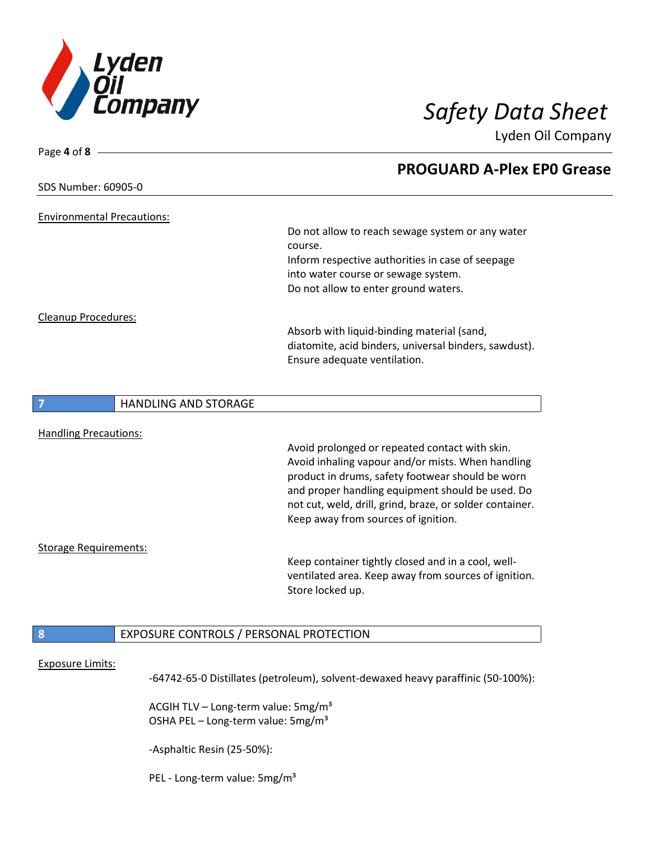

|                                                             | <b>PROGUARD A-Plex EPO Grease</b>                        |
|-------------------------------------------------------------|----------------------------------------------------------|
| SDS Number: 60905-0                                         |                                                          |
|                                                             |                                                          |
| <b>Environmental Precautions:</b>                           |                                                          |
|                                                             | Do not allow to reach sewage system or any water         |
|                                                             | course.                                                  |
|                                                             | Inform respective authorities in case of seepage         |
|                                                             | into water course or sewage system.                      |
|                                                             | Do not allow to enter ground waters.                     |
| <b>Cleanup Procedures:</b>                                  |                                                          |
|                                                             | Absorb with liquid-binding material (sand,               |
|                                                             | diatomite, acid binders, universal binders, sawdust).    |
|                                                             | Ensure adequate ventilation.                             |
|                                                             |                                                          |
| <b>HANDLING AND STORAGE</b><br>7                            |                                                          |
|                                                             |                                                          |
| <b>Handling Precautions:</b>                                |                                                          |
|                                                             | Avoid prolonged or repeated contact with skin.           |
|                                                             | Avoid inhaling vapour and/or mists. When handling        |
|                                                             | product in drums, safety footwear should be worn         |
|                                                             | and proper handling equipment should be used. Do         |
|                                                             | not cut, weld, drill, grind, braze, or solder container. |
|                                                             | Keep away from sources of ignition.                      |
|                                                             |                                                          |
| <b>Storage Requirements:</b>                                |                                                          |
|                                                             | Keep container tightly closed and in a cool, well-       |
|                                                             | ventilated area. Keep away from sources of ignition.     |
|                                                             | Store locked up.                                         |
|                                                             |                                                          |
| $\boldsymbol{8}$<br>EXPOSURE CONTROLS / PERSONAL PROTECTION |                                                          |
|                                                             |                                                          |
|                                                             |                                                          |
| <b>Exposure Limits:</b>                                     |                                                          |

-64742-65-0 Distillates (petroleum), solvent-dewaxed heavy paraffinic (50-100%):

ACGIH TLV – Long-term value:  $5mg/m<sup>3</sup>$ OSHA PEL - Long-term value: 5mg/m<sup>3</sup>

-Asphaltic Resin (25-50%):

PEL - Long-term value: 5mg/m<sup>3</sup>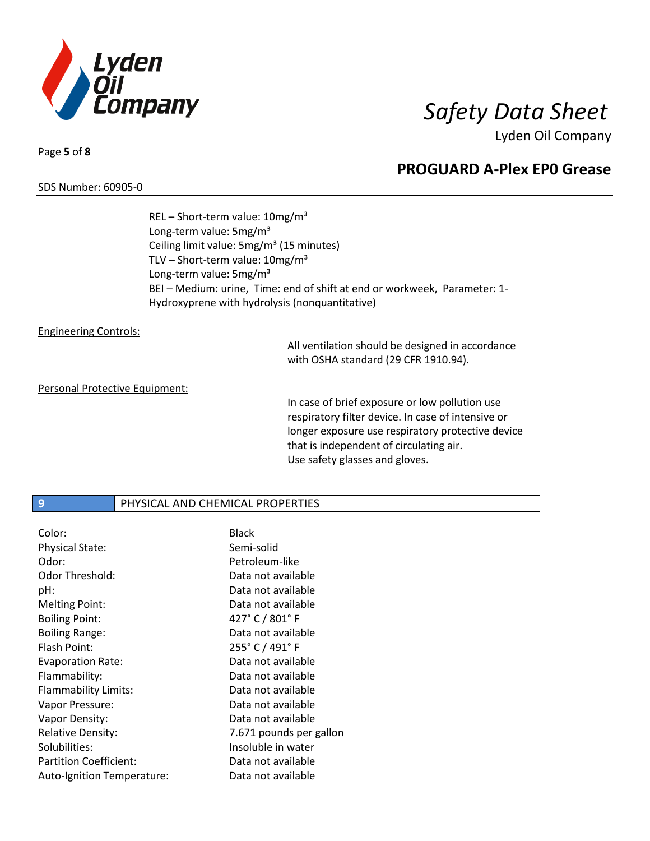

### SDS Number: 60905-0

Page **5** of **8**

**PROGUARD A-Plex EP0 Grease**

REL – Short-term value: 10mg/m³ Long-term value: 5mg/m<sup>3</sup> Ceiling limit value: 5mg/m<sup>3</sup> (15 minutes) TLV – Short-term value:  $10mg/m^3$ Long-term value: 5mg/m<sup>3</sup> BEI – Medium: urine, Time: end of shift at end or workweek, Parameter: 1- Hydroxyprene with hydrolysis (nonquantitative)

### Engineering Controls:

All ventilation should be designed in accordance with OSHA standard (29 CFR 1910.94).

### Personal Protective Equipment:

In case of brief exposure or low pollution use respiratory filter device. In case of intensive or longer exposure use respiratory protective device that is independent of circulating air. Use safety glasses and gloves.

# **9** PHYSICAL AND CHEMICAL PROPERTIES

| Color:                        | <b>Black</b>            |
|-------------------------------|-------------------------|
| <b>Physical State:</b>        | Semi-solid              |
| Odor:                         | Petroleum-like          |
| Odor Threshold:               | Data not available      |
| pH:                           | Data not available      |
| Melting Point:                | Data not available      |
| <b>Boiling Point:</b>         | 427° C / 801° F         |
| <b>Boiling Range:</b>         | Data not available      |
| Flash Point:                  | 255° C / 491° F         |
| <b>Evaporation Rate:</b>      | Data not available      |
| Flammability:                 | Data not available      |
| Flammability Limits:          | Data not available      |
| Vapor Pressure:               | Data not available      |
| Vapor Density:                | Data not available      |
| <b>Relative Density:</b>      | 7.671 pounds per gallon |
| Solubilities:                 | Insoluble in water      |
| <b>Partition Coefficient:</b> | Data not available      |
| Auto-Ignition Temperature:    | Data not available      |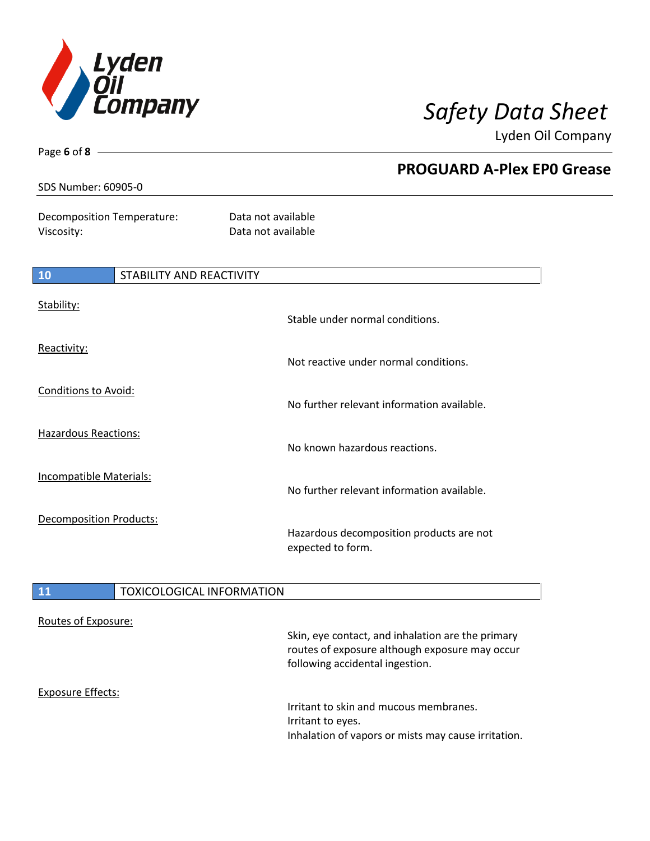

Page **6** of **8**

Lyden Oil Company

| SDS Number: 60905-0                      |                                 | <b>PROGUARD A-Plex EPO Grease</b>                             |  |
|------------------------------------------|---------------------------------|---------------------------------------------------------------|--|
| Decomposition Temperature:<br>Viscosity: |                                 | Data not available<br>Data not available                      |  |
| 10                                       | <b>STABILITY AND REACTIVITY</b> |                                                               |  |
| Stability:                               |                                 | Stable under normal conditions.                               |  |
| Reactivity:                              |                                 | Not reactive under normal conditions.                         |  |
| Conditions to Avoid:                     |                                 | No further relevant information available.                    |  |
| Hazardous Reactions:                     |                                 | No known hazardous reactions.                                 |  |
| <b>Incompatible Materials:</b>           |                                 | No further relevant information available.                    |  |
| Decomposition Products:                  |                                 | Hazardous decomposition products are not<br>expected to form. |  |

# 11 **TOXICOLOGICAL INFORMATION**

| Routes of Exposure: | Skin, eye contact, and inhalation are the primary<br>routes of exposure although exposure may occur<br>following accidental ingestion. |
|---------------------|----------------------------------------------------------------------------------------------------------------------------------------|
| Exposure Effects:   | Irritant to skin and mucous membranes.<br>Irritant to eyes.<br>Inhalation of vapors or mists may cause irritation.                     |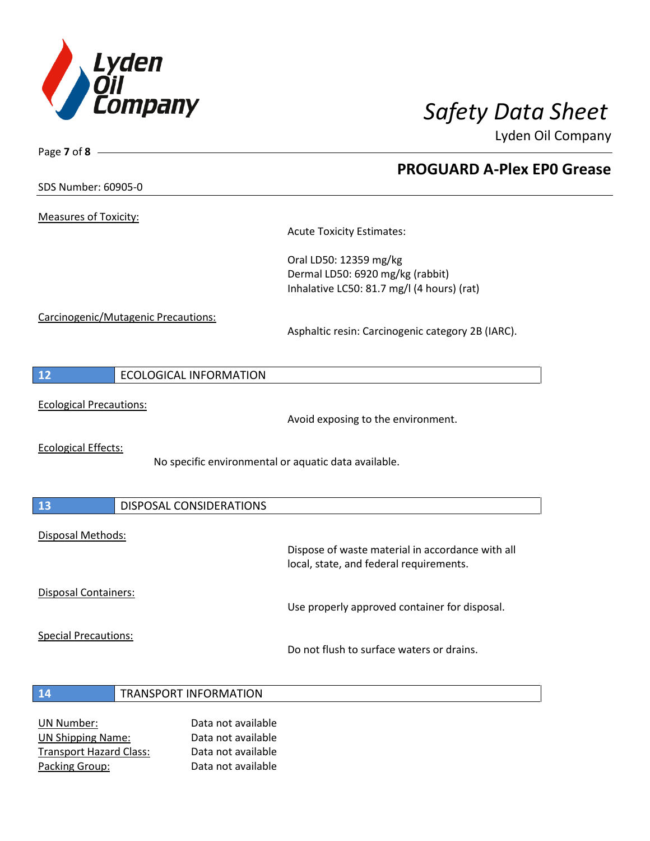

**PROGUARD A-Plex EP0 Grease**

Lyden Oil Company

SDS Number: 60905-0

Page **7** of **8**

Measures of Toxicity:

Acute Toxicity Estimates:

Oral LD50: 12359 mg/kg Dermal LD50: 6920 mg/kg (rabbit) Inhalative LC50: 81.7 mg/l (4 hours) (rat)

Carcinogenic/Mutagenic Precautions:

Asphaltic resin: Carcinogenic category 2B (IARC).

| -12 | ECOLOGICAL INFORMATION |
|-----|------------------------|
|-----|------------------------|

Ecological Precautions:

Avoid exposing to the environment.

Ecological Effects:

No specific environmental or aquatic data available.

| 13                   | DISPOSAL CONSIDERATIONS |                                                                                             |
|----------------------|-------------------------|---------------------------------------------------------------------------------------------|
| Disposal Methods:    |                         | Dispose of waste material in accordance with all<br>local, state, and federal requirements. |
| Disposal Containers: |                         |                                                                                             |

Use properly approved container for disposal.

Special Precautions:

Do not flush to surface waters or drains.

- **14** TRANSPORT INFORMATION
- UN Number: Data not available UN Shipping Name: Data not available Transport Hazard Class: Data not available Packing Group: Data not available